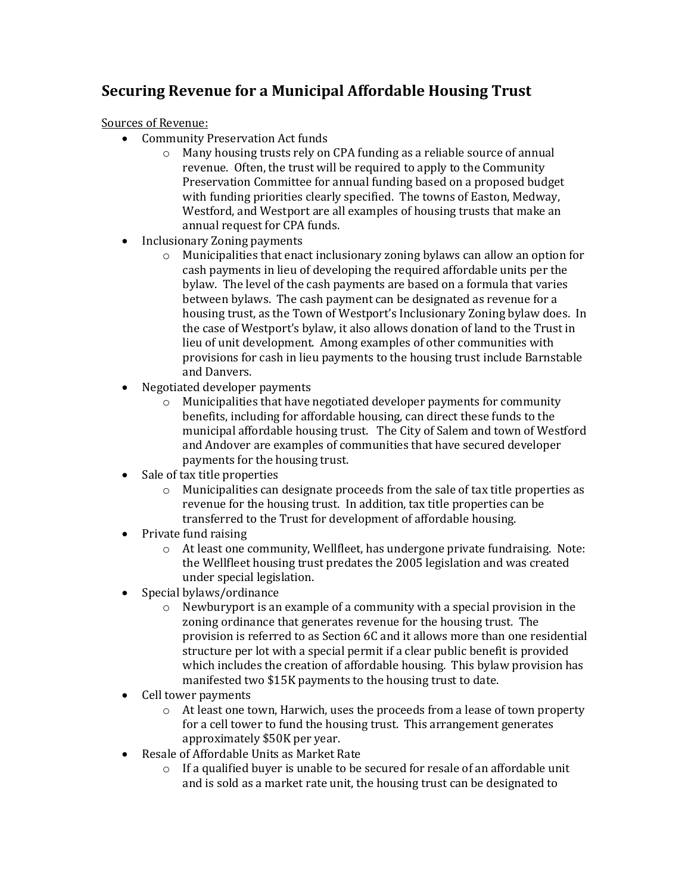## **Securing Revenue for a Municipal Affordable Housing Trust**

Sources of Revenue:

- Community Preservation Act funds
	- o Many housing trusts rely on CPA funding as a reliable source of annual revenue. Often, the trust will be required to apply to the Community Preservation Committee for annual funding based on a proposed budget with funding priorities clearly specified. The towns of Easton, Medway, Westford, and Westport are all examples of housing trusts that make an annual request for CPA funds.
- Inclusionary Zoning payments
	- o Municipalities that enact inclusionary zoning bylaws can allow an option for cash payments in lieu of developing the required affordable units per the bylaw. The level of the cash payments are based on a formula that varies between bylaws. The cash payment can be designated as revenue for a housing trust, as the Town of Westport's Inclusionary Zoning bylaw does. In the case of Westport's bylaw, it also allows donation of land to the Trust in lieu of unit development. Among examples of other communities with provisions for cash in lieu payments to the housing trust include Barnstable and Danvers.
- Negotiated developer payments
	- $\circ$  Municipalities that have negotiated developer payments for community benefits, including for affordable housing, can direct these funds to the municipal affordable housing trust. The City of Salem and town of Westford and Andover are examples of communities that have secured developer payments for the housing trust.
- Sale of tax title properties
	- o Municipalities can designate proceeds from the sale of tax title properties as revenue for the housing trust. In addition, tax title properties can be transferred to the Trust for development of affordable housing.
- Private fund raising
	- $\circ$  At least one community, Wellfleet, has undergone private fundraising. Note: the Wellfleet housing trust predates the 2005 legislation and was created under special legislation.
- Special bylaws/ordinance
	- o Newburyport is an example of a community with a special provision in the zoning ordinance that generates revenue for the housing trust. The provision is referred to as Section 6C and it allows more than one residential structure per lot with a special permit if a clear public benefit is provided which includes the creation of affordable housing. This bylaw provision has manifested two \$15K payments to the housing trust to date.
- Cell tower payments
	- $\circ$  At least one town, Harwich, uses the proceeds from a lease of town property for a cell tower to fund the housing trust. This arrangement generates approximately \$50K per year.
- Resale of Affordable Units as Market Rate
	- o If a qualified buyer is unable to be secured for resale of an affordable unit and is sold as a market rate unit, the housing trust can be designated to